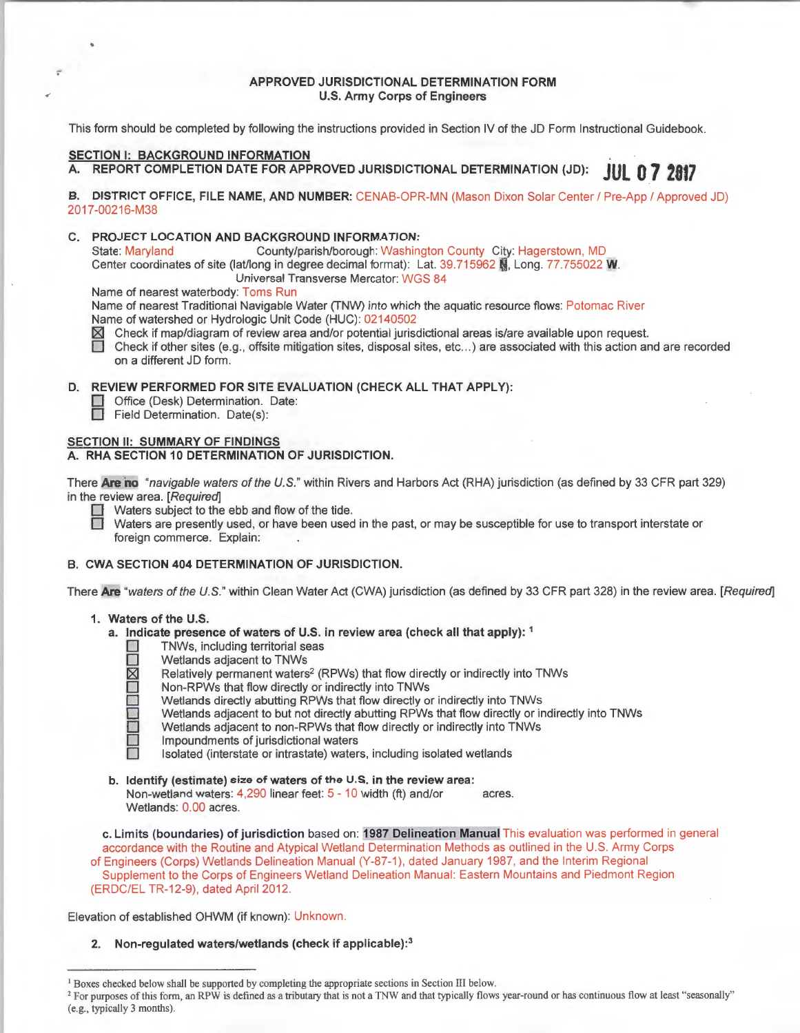## APPROVED JURISDICTIONAL DETERMINATION FORM U.S. Army Corps of Engineers

This form should be completed by following the instructions provided in Section IV of the JD Form Instructional Guidebook.

# SECTION I: BACKGROUND INFORMATION

;

# A. REPORT COMPLETION DATE FOR APPROVED JURISDICTIONAL DETERMINATION (JD): **JUL 0 7 2817**

#### B. DISTRICT OFFICE, FILE NAME, AND NUMBER: CENAB-OPR-MN (Mason Dixon Solar Center / Pre-App / Approved JD) 2017-00216-M38

C. PROJECT LOCATION AND BACKGROUND INFORMATION:

State: Maryland County/parish/borough: Washington County City: Hagerstown, MD Center coordinates of site (lat/long in degree decimal format): Lat. 39.715962 N, Long. 77.755022 W.

Universal Transverse Mercator: WGS 84

Name of nearest waterbody: Toms Run

Name of nearest Traditional Navigable Water (TNW) into which the aquatic resource flows: Potomac River Name of watershed or Hydrologic Unit Code (HUG): 02140502

 $\boxtimes$  Check if map/diagram of review area and/or potential jurisdictional areas is/are available upon request.

 $\Box$  Check if other sites (e.g., offsite mitigation sites, disposal sites, etc...) are associated with this action and are recorded on a different JD form.

# D. REVIEW PERFORMED FOR SITE EVALUATION (CHECK ALL THAT APPLY):

- **Q Office (Desk) Determination. Date:**
- **D** Field Determination. Date(s):

# SECTION II: SUMMARY OF FINDINGS

#### A. RHA SECTION 10 DETERMINATION OF JURISDICTION.

There **Are no** "navigable waters of the U.S." within Rivers and Harbors Act (RHA) jurisdiction (as defined by 33 CFR part 329) in the review area. [Required]<br> **DI** Waters subject to the ebb and flow of the tide.

Waters are presently used, or have been used in the past, or may be susceptible for use to transport interstate or foreign commerce. Explain:

## B. CWA SECTION 404 DETERMINATION OF JURISDICTION.

There Are "waters of the U.S." within Clean Water Act (CWA) jurisdiction (as defined by 33 CFR part 328) in the review area. [Required]

## 1. Waters of the U.S.

- a. Indicate presence of waters of U.S. in review area (check all that apply): 1
	- TNWs, including territorial seas<br>D Wetlands adjacent to TNWs
	-
	- Relatively permanent waters<sup>2</sup> (RPWs) that flow directly or indirectly into TNWs
	- □ Wetlands adjacent to TNWs<br>
	図 Relatively permanent waters<br>
	 Non-RPWs that flow directly Non-RPWs that flow directly or indirectly into TNWs
		- Wetlands directly abutting RPWs that flow directly or indirectly into TNWs
		- Cl Wetlands adjacent to but not directly abutting RPWs that flow directly or indirectly into TNWs
		- Wetlands adjacent to non-RPWs that flow directly or indirectly into TNWs
		- Impoundments of jurisdictional waters

Isolated (interstate or intrastate) waters, including isolated wetlands

b. Identify (estimate) size of waters of the U.S. in the review area: Non-wetland waters: 4,290 linear feet: 5 - 10 width (ft) and/or acres. Wetlands: 0.00 acres.

c. Limits (boundaries) of jurisdiction based on: 1987 Delineation Manual This evaluation was performed in general accordance with the Routine and Atypical Wetland Determination Methods as outlined in the U.S. Army Corps of Engineers (Corps) Wetlands Delineation Manual (Y-87-1), dated January 1987, and the Interim Regional Supplement to the Corps of Engineers Wetland Delineation Manual: Eastern Mountains and Piedmont Region (ERDC/EL TR-12-9), dated April 2012.

Elevation of established OHWM (if known): Unknown.

# 2. Non-regulated waters/wetlands (check if applicable):<sup>3</sup>

<sup>&</sup>lt;sup>1</sup> Boxes checked below shall be supported by completing the appropriate sections in Section III below.<br><sup>2</sup> For purposes of this form, an RPW is defined as a tributary that is not a TNW and that typically flows year-round (e.g., typically 3 months).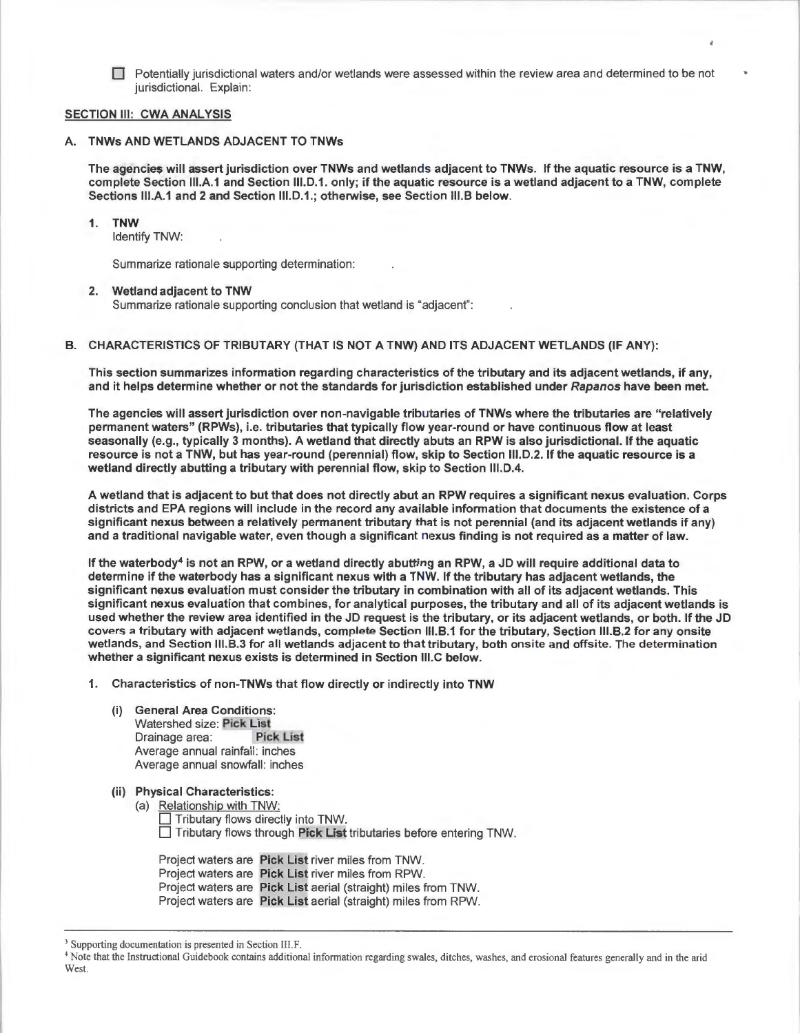$\Box$  Potentially jurisdictional waters and/or wetlands were assessed within the review area and determined to be not jurisdictional. Explain:

#### SECTION III: CWA ANALYSIS

#### A. TNWs AND WETLANDS ADJACENT TO TNWs

The agencies will assert jurisdiction over TNWs and wetlands adjacent to TNWs. If the aquatic resource is a TNW, complete Section 111.A.1 and Section 111.D.1. only; if the aquatic resource is a wetland adjacent to a TNW, complete Sections 111.A.1 and 2 and Section 111.D.1.; otherwise, see Section 111.B below.

#### 1. TNW

Identify TNW:

Summarize rationale supporting determination:

#### 2. Wetland adjacent to TNW

Summarize rationale supporting conclusion that wetland is "adjacent":

#### B. CHARACTERISTICS OF TRIBUTARY (THAT IS NOT A TNW) AND ITS ADJACENT WETLANDS (IF ANY):

This section summarizes information regarding characteristics of the tributary and its adjacent wetlands, if any, and it helps determine whether or not the standards for jurisdiction established under Rapanos have been met.

The agencies will assert jurisdiction over non-navigable tributaries of TNWs where the tributaries are "relatively permanent waters" (RPWs), i.e. tributaries that typically flow year-round or have continuous flow at least seasonally (e.g., typically 3 months). A wetland that directly abuts an RPW is also jurisdictional. If the aquatic resource is not a TNW, but has year-round (perennial) flow, skip to Section 111.D.2. If the aquatic resource is a wetland directly abutting a tributary with perennial flow, skip to Section 111.D.4.

A wetland that is adjacent to but that does not directly abut an RPW requires a significant nexus evaluation. Corps districts and EPA regions will include in the record any available information that documents the existence of a significant nexus between a relatively permanent tributary that is not perennial (and its adjacent wetlands if any) and a traditional navigable water, even though a significant nexus finding is not required as a matter of law.

If the waterbody<sup>4</sup> is not an RPW, or a wetland directly abutting an RPW, a JD will require additional data to determine if the waterbody has a significant nexus with a TNW. If the tributary has adjacent wetlands, the significant nexus evaluation must consider the tributary in combination with all of its adjacent wetlands. This significant nexus evaluation that combines, for analytical purposes, the tributary and all of its adjacent wetlands is used whether the review area identified in the JD request is the tributary, or its adjacent wetlands, or both. If the JD covers a tributary with adjacent wetlands, complete Section 111.B.1 for the tributary, Section 111.B.2 for any onsite wetlands, and Section 111.B.3 for all wetlands adjacent to that tributary, both onsite and offsite. The determination whether a significant nexus exists is determined in Section 111.C below.

1. Characteristics of non-TNWs that flow directly or indirectly into TNW

# (i) General Area Conditions:

Watershed size: Pick List<br>Drainage area: Pick List Drainage area: Average annual rainfall: inches Average annual snowfall: inches

#### (ii) Physical Characteristics:

(a) Relationship with TNW: Tributary flows directly into TNW.  $\Box$  Tributary flows through Pick List tributaries before entering TNW.

Project waters are Pick List river miles from TNW. Project waters are Pick List river miles from RPW. Project waters are Pick List aerial (straight) miles from TNW. Project waters are Pick List aerial (straight) miles from RPW.

<sup>&</sup>lt;sup>3</sup> Supporting documentation is presented in Section III.F.

<sup>•</sup> Note that the Instructional Guidebook contains additional information regarding swales, ditches, washes, and erosional features generally and in the arid West.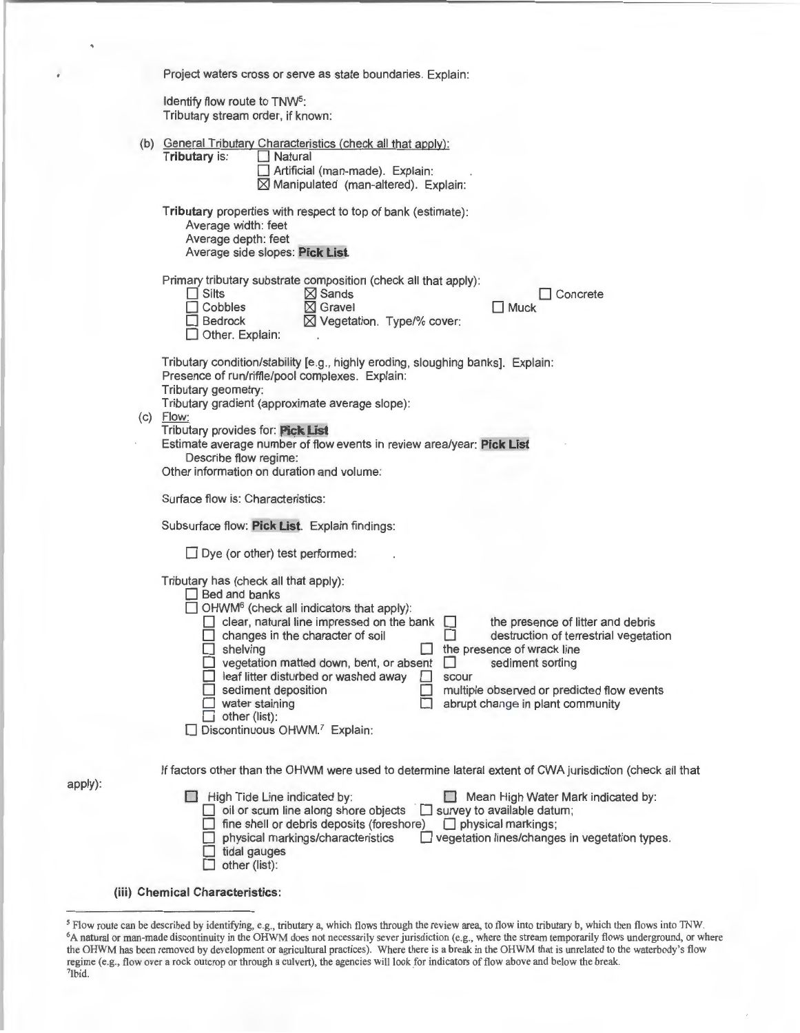| Project waters cross or serve as state boundaries. Explain:                                                                                                                                                                                                                                                                                                                                                                                                                                                                                                                                                                        |  |  |  |  |  |
|------------------------------------------------------------------------------------------------------------------------------------------------------------------------------------------------------------------------------------------------------------------------------------------------------------------------------------------------------------------------------------------------------------------------------------------------------------------------------------------------------------------------------------------------------------------------------------------------------------------------------------|--|--|--|--|--|
| Identify flow route to TNW <sup>5</sup> :                                                                                                                                                                                                                                                                                                                                                                                                                                                                                                                                                                                          |  |  |  |  |  |
| Tributary stream order, if known:                                                                                                                                                                                                                                                                                                                                                                                                                                                                                                                                                                                                  |  |  |  |  |  |
| (b) General Tributary Characteristics (check all that apply):<br>Tributary is:<br>Natural<br>Artificial (man-made). Explain:<br>$\boxtimes$ Manipulated (man-altered). Explain:                                                                                                                                                                                                                                                                                                                                                                                                                                                    |  |  |  |  |  |
| Tributary properties with respect to top of bank (estimate):<br>Average width: feet<br>Average depth: feet<br>Average side slopes: Pick List.                                                                                                                                                                                                                                                                                                                                                                                                                                                                                      |  |  |  |  |  |
| Primary tributary substrate composition (check all that apply):<br>$\Box$ Silts<br>$\boxtimes$ Sands<br>Concrete<br>Cobbles<br>$\boxtimes$ Gravel<br>$\Box$ Muck<br>⊠ Vegetation. Type/% cover:<br>Bedrock<br>Other. Explain:                                                                                                                                                                                                                                                                                                                                                                                                      |  |  |  |  |  |
| Tributary condition/stability [e.g., highly eroding, sloughing banks]. Explain:<br>Presence of run/riffle/pool complexes. Explain:<br>Tributary geometry:                                                                                                                                                                                                                                                                                                                                                                                                                                                                          |  |  |  |  |  |
| Tributary gradient (approximate average slope):<br>$(c)$ Flow:<br>Tributary provides for: Pick List                                                                                                                                                                                                                                                                                                                                                                                                                                                                                                                                |  |  |  |  |  |
| Estimate average number of flow events in review area/year: Pick List<br>Describe flow regime:<br>Other information on duration and volume:                                                                                                                                                                                                                                                                                                                                                                                                                                                                                        |  |  |  |  |  |
| Surface flow is: Characteristics:                                                                                                                                                                                                                                                                                                                                                                                                                                                                                                                                                                                                  |  |  |  |  |  |
| Subsurface flow: Pick List. Explain findings:                                                                                                                                                                                                                                                                                                                                                                                                                                                                                                                                                                                      |  |  |  |  |  |
| $\Box$ Dye (or other) test performed:                                                                                                                                                                                                                                                                                                                                                                                                                                                                                                                                                                                              |  |  |  |  |  |
| Tributary has (check all that apply):<br>$\Box$ Bed and banks<br>$\Box$ OHWM <sup>6</sup> (check all indicators that apply):<br>clear, natural line impressed on the bank<br>the presence of litter and debris<br>changes in the character of soil<br>destruction of terrestrial vegetation<br>shelving<br>the presence of wrack line<br>vegetation matted down, bent, or absent<br>sediment sorting<br>leaf litter disturbed or washed away<br>scour<br>multiple observed or predicted flow events<br>sediment deposition<br>water staining<br>abrupt change in plant community<br>other (list):<br>Discontinuous OHWM.7 Explain: |  |  |  |  |  |
|                                                                                                                                                                                                                                                                                                                                                                                                                                                                                                                                                                                                                                    |  |  |  |  |  |
| If factors other than the OHWM were used to determine lateral extent of CWA jurisdiction (check all that                                                                                                                                                                                                                                                                                                                                                                                                                                                                                                                           |  |  |  |  |  |
| High Tide Line indicated by:<br>Mean High Water Mark indicated by:<br>oil or scum line along shore objects<br>$\Box$ survey to available datum;<br>fine shell or debris deposits (foreshore)<br>$\Box$ physical markings;<br>physical markings/characteristics<br>vegetation lines/changes in vegetation types.<br>tidal gauges<br>other (list):                                                                                                                                                                                                                                                                                   |  |  |  |  |  |
| (iii) Chemical Characteristics:                                                                                                                                                                                                                                                                                                                                                                                                                                                                                                                                                                                                    |  |  |  |  |  |

apply):

<sup>&</sup>lt;sup>5</sup> Flow route can be described by identifying, e.g., tributary a, which flows through the review area, to flow into tributary b, which then flows into TNW.<br><sup>6</sup>A natural or man-made discontinuity in the OHWM does not neces the OHWM has been removed by development or agricultural practices). Where there is a break in the OHWM that is unrelated to the waterbody's flow regime (e.g., flow over a rock outcrop or through a culvert), the agencies will look for indicators of flow above and below the break.<br><sup>7</sup>Ibid.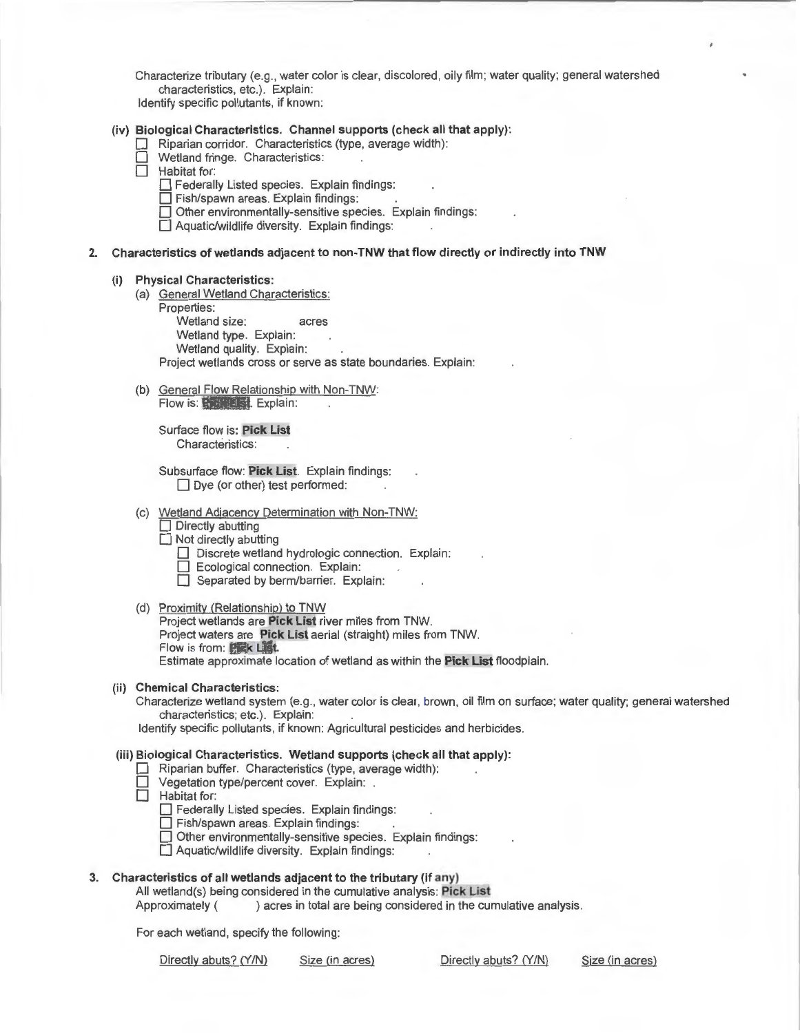Characterize tributary (e.g. , water color is clear, discolored, oily film; water quality; general watershed characteristics, etc.). Explain:

Identify specific pollutants, if known:

## (iv) **Biological Characteristics. Channel supports (check all that apply):**

- Riparian corridor. Characteristics (type, average width):
- Wetland fringe. Characteristics:
- $\Box$  Habitat for:
	- $\Box$  Federally Listed species. Explain findings:
	- $\Box$  Fish/spawn areas. Explain findings:
	- $\Box$  Other environmentally-sensitive species. Explain findings:
	- $\Box$  Aquatic/wildlife diversity. Explain findings:

#### **2. Characteristics of wetlands adjacent to non-TNW that flow directly or indirectly into TNW**

#### **(i) Physical Characteristics:**

- (a) General Wetland Characteristics:
	- Properties:

Wetland size: acres

Wetland type. Explain:

Wetland quality. Explain:

Project wetlands cross or serve as state boundaries. Explain:

(b) General Flow Relationship with Non-TNW: Flow is: **Pick List.** Explain:

Surface flow is: **Pick List**  Characteristics:

Subsurface flow: **Pick List.** Explain findings:  $\Box$  Dye (or other) test performed:

- (c) Wetland Adjacency Determination with Non-TNW:
	- $\Box$  Directly abutting
	- $\Box$  Not directly abutting
		- Discrete wetland hydrologic connection. Explain:
		- $\Box$  Ecological connection. Explain:
		- Separated by berm/barrier. Explain:
- (d) Proximity (Relationship) to TNW

Project wetlands are **Pick List** river miles from TNW. Project waters are **Pick List** aerial (straight) miles from TNW. Flow is from : **Pick List.**  Estimate approximate location of wetland as within the Pick List floodplain.

# **(ii) Chemical Characteristics:**

Characterize wetland system (e.g., water color is clear, brown , oil film on surface; water quality; general watershed characteristics; etc.). Explain:

Identify specific pollutants, if known: Agricultural pesticides and herbicides.

**(iii) Biological Characteristics. Wetland supports (check all that apply):** 

#### Riparian buffer. Characteristics (type, average width):

Vegetation type/percent cover. Explain: .

Habitat for:

**D** Federally Listed species. Explain findings:

 $\Box$  Fish/spawn areas. Explain findings:

 $\Box$  Other environmentally-sensitive species. Explain findings:

 $\Box$  Aquatic/wildlife diversity. Explain findings:

## **3. Characteristics of all wetlands adjacent to the tributary (if any)**

All wetland(s) being considered in the cumulative analysis: **Pick List** 

Approximately ( ) acres in total are being considered in the cumulative analysis.

For each wetland, specify the following:

Directly abuts? (Y/N) Size (in acres) Directly abuts? (Y/N) Size (in acres)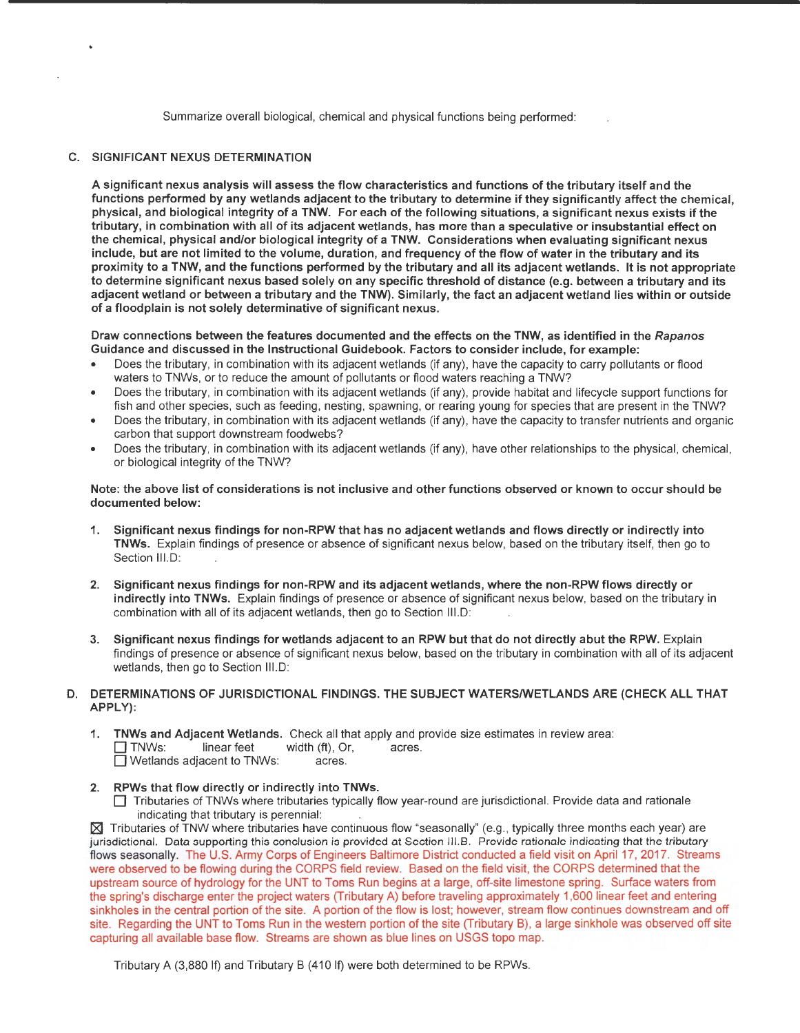Summarize overall biological, chemical and physical functions being performed:

## C. SIGNIFICANT NEXUS DETERMINATION

A significant nexus analysis will assess the flow characteristics and functions of the tributary itself and the functions performed by any wetlands adjacent to the tributary to determine if they significantly affect the chemical, physical, and biological integrity of a TNW. For each of the following situations, a significant nexus exists if the tributary, in combination with all of its adjacent wetlands, has more than a speculative or insubstantial effect on the chemical, physical and/or biological integrity of a TNW. Considerations when evaluating significant nexus include, but are not limited to the volume, duration, and frequency of the flow of water in the tributary and its proximity to a TNW, and the functions performed by the tributary and all its adjacent wetlands. It is not appropriate to determine significant nexus based solely on any specific threshold of distance (e.g. between a tributary and its adjacent wetland or between a tributary and the TNW). Similarly, the fact an adjacent wetland lies within or outside of a floodplain is not solely determinative of significant nexus.

Draw connections between the features documented and the effects on the TNW, as identified in the Rapanos Guidance and discussed in the Instructional Guidebook. Factors to consider include, for example:

- Does the tributary, in combination with its adjacent wetlands (if any), have the capacity to carry pollutants or flood waters to TNWs, or to reduce the amount of pollutants or flood waters reaching a TNW?
- Does the tributary, in combination with its adjacent wetlands (if any), provide habitat and lifecycle support functions for fish and other species, such as feeding, nesting, spawning, or rearing young for species that are present in the TNW?
- Does the tributary, in combination with its adjacent wetlands (if any), have the capacity to transfer nutrients and organic carbon that support downstream foodwebs?
- Does the tributary, in combination with its adjacent wetlands (if any), have other relationships to the physical, chemical, or biological integrity of the TNW?

Note: the above list of considerations is not inclusive and other functions observed or known to occur should be documented below:

- 1. Significant nexus findings for non-RPW that has no adjacent wetlands and flows directly or indirectly into TNWs. Explain findings of presence or absence of significant nexus below, based on the tributary itself, then go to Section III.D:
- 2. Significant nexus findings for non-RPW and its adjacent wetlands, where the non-RPW flows directly or indirectly into TNWs. Explain findings of presence or absence of significant nexus below, based on the tributary in combination with all of its adjacent wetlands, then go to Section 111.D:
- 3. Significant nexus findings for wetlands adjacent to an RPW but that do not directly abut the RPW. Explain findings of presence or absence of significant nexus below, based on the tributary in combination with all of its adjacent wetlands, then go to Section III.D:

# D. DETERMINATIONS OF JURISDICTIONAL FINDINGS. THE SUBJECT WATERS/WETLANDS ARE (CHECK ALL THAT APPLY):

1. TNWs and Adjacent Wetlands. Check all that apply and provide size estimates in review area:<br>  $\Box$  TNWs: linear feet width (ft), Or, acres.<br>  $\Box$  Wetlands adjacent to TNWs: acres.  $\Box$  Wetlands adjacent to TNWs:

## 2. RPWs that flow directly or indirectly into TNWs.

O Tributaries of TNWs where tributaries typically flow year-round are jurisdictional. Provide data and rationale indicating that tributary is perennial:

 $\boxtimes$  Tributaries of TNW where tributaries have continuous flow "seasonally" (e.g., typically three months each year) are jurisdictional. Data supporting this conclusion is provided at Section 111.B. Provide rationale indicating that the tributary flows seasonally. The U.S. Army Corps of Engineers Baltimore District conducted a field visit on April 17, 2017. Streams were observed to be flowing during the CORPS field review. Based on the field visit, the CORPS determined that the upstream source of hydrology for the UNT to Toms Run begins at a large, off-site limestone spring. Surface waters from the spring's discharge enter the project waters (Tributary A) before traveling approximately 1,600 linear feet and entering sinkholes in the central portion of the site. A portion of the flow is lost; however, stream flow continues downstream and off site. Regarding the UNT to Toms Run in the western portion of the site (Tributary B), a large sinkhole was observed off site capturing all available base flow. Streams are shown as blue lines on USGS topo map.

Tributary A (3,880 If) and Tributary B (410 If) were both determined to be RPWs.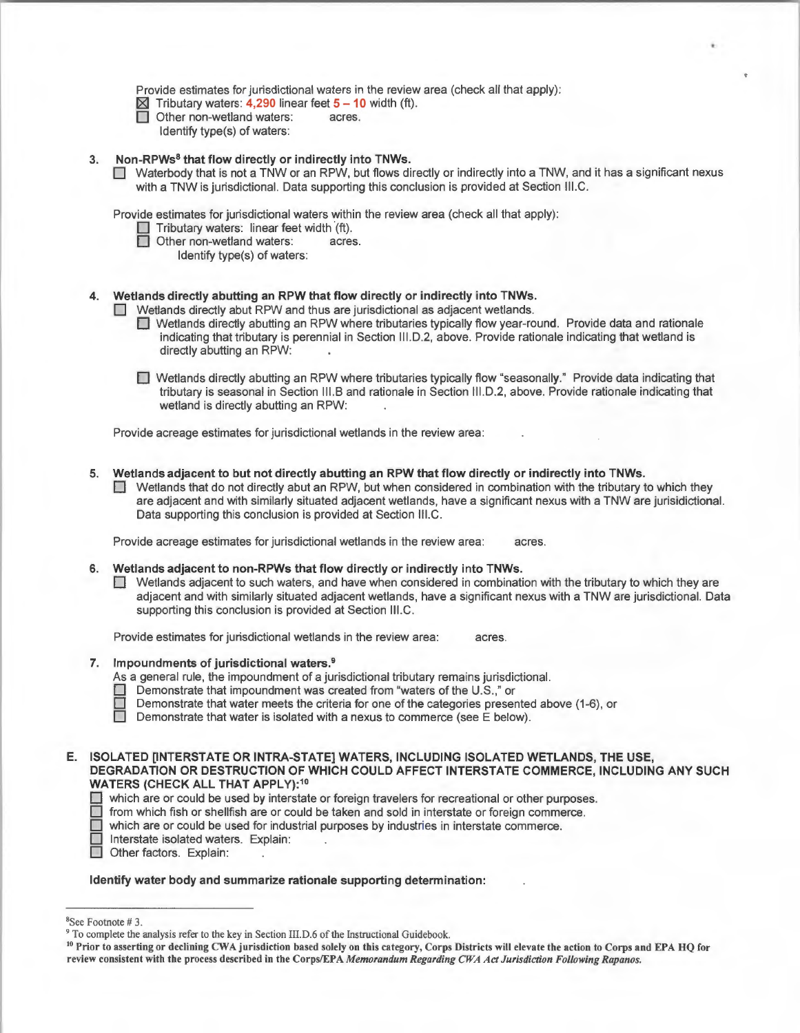Provide estimates for jurisdictional waters in the review area (check all that apply):

- **table Tributary waters: 4,290 linear feet 5 10 width (ft).<br>□ Other non-wetland waters: acres.**
- Other non-wetland waters: acres.
- Identify type(s) of waters:

## **3. Non-RPWs8 that flow directly or indirectly into TNWs.**

**D** Waterbody that is not a TNW or an RPW, but flows directly or indirectly into a TNW, and it has a significant nexus with a TNW is jurisdictional. Data supporting this conclusion is provided at Section III.C.

Provide estimates for jurisdictional waters within the review area (check all that apply):

- **D** Tributary waters: linear feet width (ft).
- Other non-wetland waters: acres.
	- Identify type(s) of waters:

## **4. Wetlands directly abutting an RPW that flow directly or indirectly into TNWs.**

**D** Wetlands directly abut RPW and thus are jurisdictional as adjacent wetlands.

- **1** Wetlands directly abutting an RPW where tributaries typically flow year-round. Provide data and rationale indicating that tributary is perennial in Section 111.D.2, above. Provide rationale indicating that wetland is directly abutting an RPW:
- 0 Wetlands directly abutting an RPW where tributaries typically flow "seasonally." Provide data indicating that tributary is seasonal in Section 111.B and rationale in Section 111.D.2, above. Provide rationale indicating that wetland is directly abutting an RPW:

Provide acreage estimates for jurisdictional wetlands in the review area:

- **5. Wetlands adjacent to but not directly abutting an RPW that flow directly or indirectly into TNWs.** 
	- $\Box$  Wetlands that do not directly abut an RPW, but when considered in combination with the tributary to which they are adjacent and with similarly situated adjacent wetlands, have a significant nexus with a TNW are jurisidictional. Data supporting this conclusion is provided at Section 111.C.

Provide acreage estimates for jurisdictional wetlands in the review area: acres.

- **6. Wetlands adjacent to non-RPWs that flow directly or indirectly into TNWs.** 
	- D Wetlands adjacent to such waters, and have when considered in combination with the tributary to which they are adjacent and with similarly situated adjacent wetlands, have a significant nexus with a TNW are jurisdictional. Data supporting this conclusion is provided at Section III.C.

Provide estimates for jurisdictional wetlands in the review area: acres.

#### **7. Impoundments of jurisdictional waters. <sup>9</sup>**

As a general rule, the impoundment of a jurisdictional tributary remains jurisdictional.

- **0** Demonstrate that impoundment was created from "waters of the U.S.," or
	- Demonstrate that water meets the criteria for one of the categories presented above (1-6), or
- $\Box$  Demonstrate that water is isolated with a nexus to commerce (see E below).

## **E. ISOLATED [INTERSTATE OR INTRA-STATE] WATERS, INCLUDING ISOLATED WETLANDS, THE USE, DEGRADATION OR DESTRUCTION OF WHICH COULD AFFECT INTERSTATE COMMERCE, INCLUDING ANY SUCH WATERS (CHECK ALL THAT APPLY):<sup>10</sup>**

- $\Box$  which are or could be used by interstate or foreign travelers for recreational or other purposes.<br> $\Box$  from which fish or shellfish are or could be taken and sold in interstate or foreign commerce.
- $\Box$  from which fish or shellfish are or could be taken and sold in interstate or foreign commerce.<br> $\Box$  which are or could be used for industrial purposes by industries in interstate commerce.
	- which are or could be used for industrial purposes by industries in interstate commerce.
	- Interstate isolated waters. Explain:
- Other factors. Explain:

#### **Identify water body and summarize rationale supporting determination:**

<sup>&</sup>lt;sup>8</sup>See Footnote #3.

<sup>&</sup>lt;sup>9</sup> To complete the analysis refer to the key in Section III.D.6 of the Instructional Guidebook.<br><sup>10</sup> Prior to asserting or declining CWA jurisdiction based solely on this category, Corps Districts will elevate the action review consistent with the process described in the Corps/EPA *Memorandum Regarding CWA Act Jurisdiction Following Rapanos.*